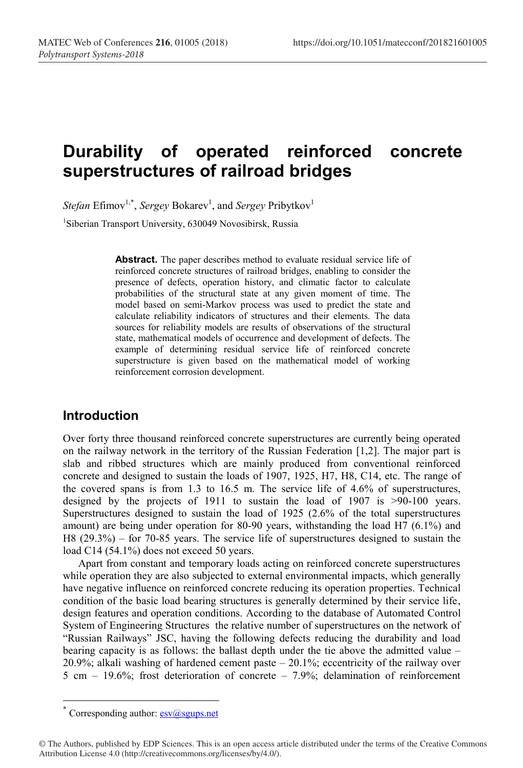# **Durability of operated reinforced concrete superstructures of railroad bridges**

 $Stefan Effmov<sup>1,*</sup>, *Sergey* Bokarev<sup>1</sup>, and *Sergey* Pribytkov<sup>1</sup>$ <sup>1</sup>Siberian Transport University, 630049 Novosibirsk, Russia

> Abstract. The paper describes method to evaluate residual service life of reinforced concrete structures of railroad bridges, enabling to consider the presence of defects, operation history, and climatic factor to calculate probabilities of the structural state at any given moment of time. The model based on semi-Markov process was used to predict the state and calculate reliability indicators of structures and their elements. The data sources for reliability models are results of observations of the structural state, mathematical models of occurrence and development of defects. The example of determining residual service life of reinforced concrete superstructure is given based on the mathematical model of working reinforcement corrosion development.

# **Introduction**

Over forty three thousand reinforced concrete superstructures are currently being operated on the railway network in the territory of the Russian Federation [1,2]. The major part is slab and ribbed structures which are mainly produced from conventional reinforced concrete and designed to sustain the loads of 1907, 1925, Н7, Н8, С14, etc. The range of the covered spans is from 1.3 to 16.5 m. The service life of 4.6% of superstructures, designed by the projects of 1911 to sustain the load of 1907 is >90-100 years. Superstructures designed to sustain the load of 1925 (2.6% of the total superstructures amount) are being under operation for 80-90 years, withstanding the load Н7 (6.1%) and Н8 (29.3%) – for 70-85 years. The service life of superstructures designed to sustain the load C14 (54.1%) does not exceed 50 years.

Apart from constant and temporary loads acting on reinforced concrete superstructures while operation they are also subjected to external environmental impacts, which generally have negative influence on reinforced concrete reducing its operation properties. Technical condition of the basic load bearing structures is generally determined by their service life, design features and operation conditions. According to the database of Automated Control System of Engineering Structures the relative number of superstructures on the network of "Russian Railways" JSC, having the following defects reducing the durability and load bearing capacity is as follows: the ballast depth under the tie above the admitted value – 20.9%; alkali washing of hardened cement paste – 20.1%; eccentricity of the railway over 5 cm – 19.6%; frost deterioration of concrete – 7.9%; delamination of reinforcement

Corresponding author:  $esv(a)$ sgups.net

<sup>©</sup> The Authors, published by EDP Sciences. This is an open access article distributed under the terms of the Creative Commons Attribution License 4.0 (http://creativecommons.org/licenses/by/4.0/).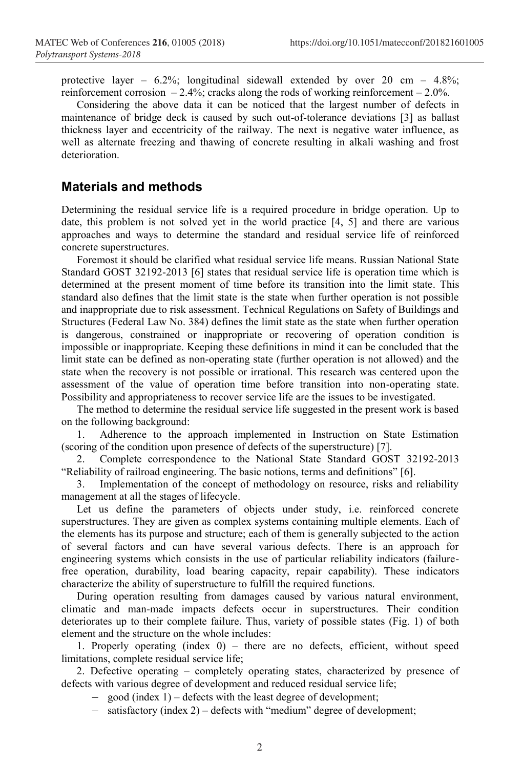protective layer –  $6.2\%$ ; longitudinal sidewall extended by over 20 cm – 4.8%; reinforcement corrosion  $-2.4\%$ ; cracks along the rods of working reinforcement  $-2.0\%$ .

Considering the above data it can be noticed that the largest number of defects in maintenance of bridge deck is caused by such out-of-tolerance deviations [3] as ballast thickness layer and eccentricity of the railway. The next is negative water influence, as well as alternate freezing and thawing of concrete resulting in alkali washing and frost deterioration.

# **Materials and methods**

Determining the residual service life is a required procedure in bridge operation. Up to date, this problem is not solved yet in the world practice [4, 5] and there are various approaches and ways to determine the standard and residual service life of reinforced concrete superstructures.

Foremost it should be clarified what residual service life means. Russian National State Standard GOST 32192-2013 [6] states that residual service life is operation time which is determined at the present moment of time before its transition into the limit state. This standard also defines that the limit state is the state when further operation is not possible and inappropriate due to risk assessment. Technical Regulations on Safety of Buildings and Structures (Federal Law No. 384) defines the limit state as the state when further operation is dangerous, constrained or inappropriate or recovering of operation condition is impossible or inappropriate. Keeping these definitions in mind it can be concluded that the limit state can be defined as non-operating state (further operation is not allowed) and the state when the recovery is not possible or irrational. This research was centered upon the assessment of the value of operation time before transition into non-operating state. Possibility and appropriateness to recover service life are the issues to be investigated.

The method to determine the residual service life suggested in the present work is based on the following background:

1. Adherence to the approach implemented in Instruction on State Estimation (scoring of the condition upon presence of defects of the superstructure) [7].

2. Complete correspondence to the National State Standard GOST 32192-2013 "Reliability of railroad engineering. The basic notions, terms and definitions" [6].

3. Implementation of the concept of methodology on resource, risks and reliability management at all the stages of lifecycle.

Let us define the parameters of objects under study, i.e. reinforced concrete superstructures. They are given as complex systems containing multiple elements. Each of the elements has its purpose and structure; each of them is generally subjected to the action of several factors and can have several various defects. There is an approach for engineering systems which consists in the use of particular reliability indicators (failurefree operation, durability, load bearing capacity, repair capability). These indicators characterize the ability of superstructure to fulfill the required functions.

During operation resulting from damages caused by various natural environment, climatic and man-made impacts defects occur in superstructures. Their condition deteriorates up to their complete failure. Thus, variety of possible states (Fig. 1) of both element and the structure on the whole includes:

1. Properly operating (index 0) – there are no defects, efficient, without speed limitations, complete residual service life;

2. Defective operating – completely operating states, characterized by presence of defects with various degree of development and reduced residual service life;

– good (index 1) – defects with the least degree of development;

– satisfactory (index 2) – defects with "medium" degree of development;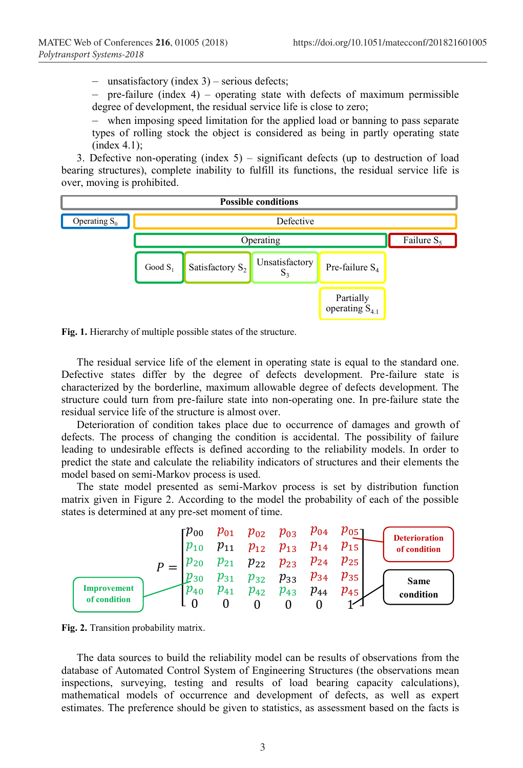– unsatisfactory (index 3) – serious defects;

 $-$  pre-failure (index 4) – operating state with defects of maximum permissible degree of development, the residual service life is close to zero;

– when imposing speed limitation for the applied load or banning to pass separate types of rolling stock the object is considered as being in partly operating state (index 4.1);

3. Defective non-operating (index 5) – significant defects (up to destruction of load bearing structures), complete inability to fulfill its functions, the residual service life is over, moving is prohibited.



**Fig. 1.** Hierarchy of multiple possible states of the structure.

The residual service life of the element in operating state is equal to the standard one. Defective states differ by the degree of defects development. Pre-failure state is characterized by the borderline, maximum allowable degree of defects development. The structure could turn from pre-failure state into non-operating one. In pre-failure state the residual service life of the structure is almost over.

Deterioration of condition takes place due to occurrence of damages and growth of defects. The process of changing the condition is accidental. The possibility of failure leading to undesirable effects is defined according to the reliability models. In order to predict the state and calculate the reliability indicators of structures and their elements the model based on semi-Markov process is used.

The state model presented as semi-Markov process is set by distribution function matrix given in Figure 2. According to the model the probability of each of the possible states is determined at any pre-set moment of time.



**Fig. 2.** Transition probability matrix.

The data sources to build the reliability model can be results of observations from the database of Automated Control System of Engineering Structures (the observations mean inspections, surveying, testing and results of load bearing capacity calculations), mathematical models of occurrence and development of defects, as well as expert estimates. The preference should be given to statistics, as assessment based on the facts is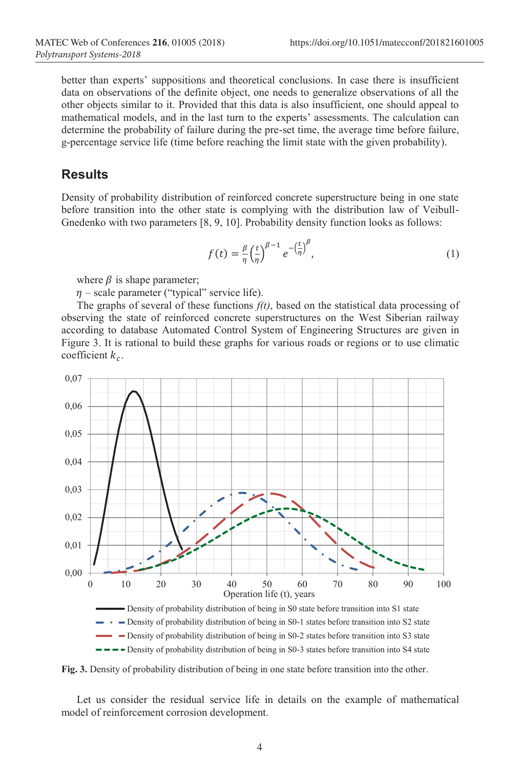better than experts' suppositions and theoretical conclusions. In case there is insufficient data on observations of the definite object, one needs to generalize observations of all the other objects similar to it. Provided that this data is also insufficient, one should appeal to mathematical models, and in the last turn to the experts' assessments. The calculation can determine the probability of failure during the pre-set time, the average time before failure, g-percentage service life (time before reaching the limit state with the given probability).

# **Results**

Density of probability distribution of reinforced concrete superstructure being in one state before transition into the other state is complying with the distribution law of Veibull-Gnedenko with two parameters [8, 9, 10]. Probability density function looks as follows:

$$
f(t) = \frac{\beta}{\eta} \left(\frac{t}{\eta}\right)^{\beta - 1} e^{-\left(\frac{t}{\eta}\right)^{\beta}},\tag{1}
$$

where  $\beta$  is shape parameter;

 $\eta$  – scale parameter ("typical" service life).

The graphs of several of these functions  $f(t)$ , based on the statistical data processing of observing the state of reinforced concrete superstructures on the West Siberian railway according to database Automated Control System of Engineering Structures are given in Figure 3. It is rational to build these graphs for various roads or regions or to use climatic coefficient  $k_c$ .



 $\blacksquare$   $\blacksquare$   $\blacksquare$   $\blacksquare$   $\blacksquare$   $\blacksquare$   $\blacksquare$   $\blacksquare$   $\blacksquare$   $\blacksquare$   $\blacksquare$   $\blacksquare$   $\blacksquare$   $\blacksquare$   $\blacksquare$   $\blacksquare$   $\blacksquare$   $\blacksquare$   $\blacksquare$   $\blacksquare$   $\blacksquare$   $\blacksquare$   $\blacksquare$   $\blacksquare$   $\blacksquare$   $\blacksquare$   $\blacksquare$   $\blacksquare$   $\blacksquare$   $\blacksquare$   $\blacksquare$   $\blacksquare$ 



Let us consider the residual service life in details on the example of mathematical model of reinforcement corrosion development.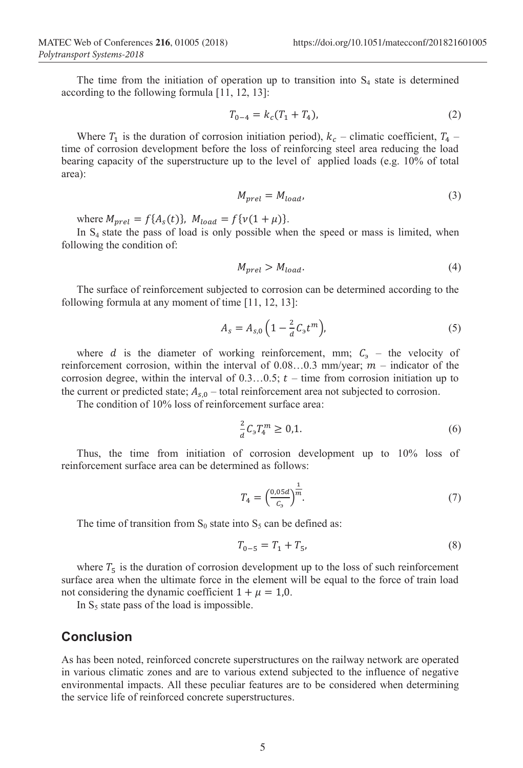The time from the initiation of operation up to transition into  $S<sub>4</sub>$  state is determined according to the following formula [11, 12, 13]:

$$
T_{0-4} = k_c (T_1 + T_4), \tag{2}
$$

Where  $T_1$  is the duration of corrosion initiation period),  $k_c$  – climatic coefficient,  $T_4$  – time of corrosion development before the loss of reinforcing steel area reducing the load bearing capacity of the superstructure up to the level of applied loads (e.g. 10% of total area):

$$
M_{prel} = M_{load},\tag{3}
$$

where  $M_{prel} = f\{A_s(t)\}, M_{load} = f\{v(1 + \mu)\}.$ 

In  $S<sub>4</sub>$  state the pass of load is only possible when the speed or mass is limited, when following the condition of:

$$
M_{prel} > M_{load}.\tag{4}
$$

The surface of reinforcement subjected to corrosion can be determined according to the following formula at any moment of time [11, 12, 13]:

$$
A_s = A_{s,0} \left( 1 - \frac{2}{d} C_3 t^m \right), \tag{5}
$$

where *d* is the diameter of working reinforcement, mm;  $C_3$  – the velocity of reinforcement corrosion, within the interval of  $0.08...0.3$  mm/year;  $m$  – indicator of the corrosion degree, within the interval of  $0.3...0.5$ ;  $t$  – time from corrosion initiation up to the current or predicted state;  $A_{s,0}$  – total reinforcement area not subjected to corrosion.

The condition of 10% loss of reinforcement surface area:

$$
\frac{2}{a}C_3T_4^m \ge 0,1.
$$
 (6)

Thus, the time from initiation of corrosion development up to 10% loss of reinforcement surface area can be determined as follows:

$$
T_4 = \left(\frac{0.05d}{c_3}\right)^{\frac{1}{m}}.\tag{7}
$$

The time of transition from  $S_0$  state into  $S_5$  can be defined as:

$$
T_{0-5} = T_1 + T_5,\tag{8}
$$

where  $T_5$  is the duration of corrosion development up to the loss of such reinforcement surface area when the ultimate force in the element will be equal to the force of train load not considering the dynamic coefficient  $1 + \mu = 1.0$ .

In  $S_5$  state pass of the load is impossible.

#### **Conclusion**

As has been noted, reinforced concrete superstructures on the railway network are operated in various climatic zones and are to various extend subjected to the influence of negative environmental impacts. All these peculiar features are to be considered when determining the service life of reinforced concrete superstructures.